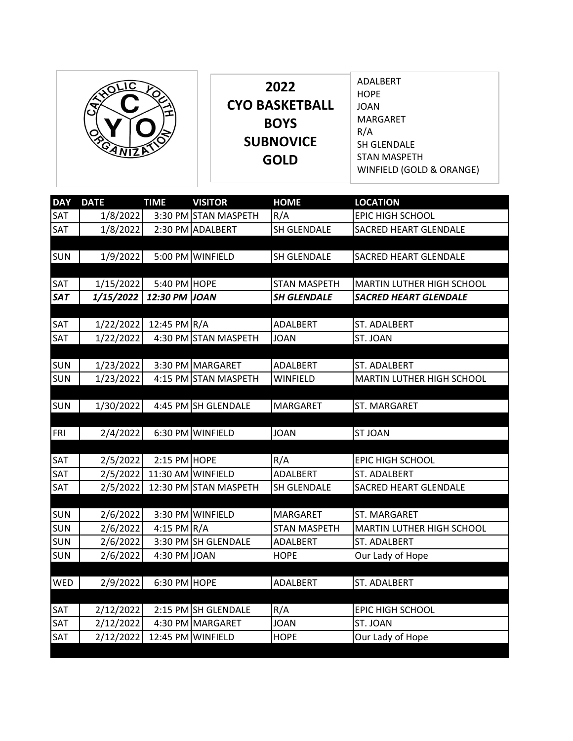|  | 2022<br><b>CYO BASKETBALL</b><br><b>BOYS</b><br><b>SUBNOVICE</b><br><b>GOLD</b> | ADALBERT<br><b>HOPE</b><br><b>JOAN</b><br>MARGARET<br>R/A<br>SH GLENDALE<br><b>STAN MASPETH</b><br>WINFIELD (GOLD & ORANGE) |
|--|---------------------------------------------------------------------------------|-----------------------------------------------------------------------------------------------------------------------------|
|--|---------------------------------------------------------------------------------|-----------------------------------------------------------------------------------------------------------------------------|

| <b>DAY</b> | <b>DATE</b> | <b>TIME</b>   | <b>VISITOR</b>        | <b>HOME</b>         | <b>LOCATION</b>                  |
|------------|-------------|---------------|-----------------------|---------------------|----------------------------------|
| SAT        | 1/8/2022    |               | 3:30 PM STAN MASPETH  | R/A                 | EPIC HIGH SCHOOL                 |
| SAT        | 1/8/2022    |               | 2:30 PM ADALBERT      | SH GLENDALE         | SACRED HEART GLENDALE            |
|            |             |               |                       |                     |                                  |
| <b>SUN</b> | 1/9/2022    |               | 5:00 PM WINFIELD      | SH GLENDALE         | <b>SACRED HEART GLENDALE</b>     |
|            |             |               |                       |                     |                                  |
| SAT        | 1/15/2022   | 5:40 PM HOPE  |                       | <b>STAN MASPETH</b> | MARTIN LUTHER HIGH SCHOOL        |
| <b>SAT</b> | 1/15/2022   | 12:30 PM JOAN |                       | <b>SH GLENDALE</b>  | <b>SACRED HEART GLENDALE</b>     |
|            |             |               |                       |                     |                                  |
| SAT        | 1/22/2022   | 12:45 PM R/A  |                       | <b>ADALBERT</b>     | <b>ST. ADALBERT</b>              |
| SAT        | 1/22/2022   |               | 4:30 PM STAN MASPETH  | <b>JOAN</b>         | ST. JOAN                         |
|            |             |               |                       |                     |                                  |
| <b>SUN</b> | 1/23/2022   |               | 3:30 PM MARGARET      | <b>ADALBERT</b>     | ST. ADALBERT                     |
| <b>SUN</b> | 1/23/2022   |               | 4:15 PM STAN MASPETH  | <b>WINFIELD</b>     | MARTIN LUTHER HIGH SCHOOL        |
|            |             |               |                       |                     |                                  |
| <b>SUN</b> | 1/30/2022   |               | 4:45 PM SH GLENDALE   | <b>MARGARET</b>     | ST. MARGARET                     |
|            |             |               |                       |                     |                                  |
| FRI        | 2/4/2022    |               | 6:30 PM WINFIELD      | <b>JOAN</b>         | <b>ST JOAN</b>                   |
|            |             |               |                       |                     |                                  |
| SAT        | 2/5/2022    | 2:15 PM HOPE  |                       | R/A                 | <b>EPIC HIGH SCHOOL</b>          |
| SAT        | 2/5/2022    |               | 11:30 AM WINFIELD     | <b>ADALBERT</b>     | ST. ADALBERT                     |
| SAT        | 2/5/2022    |               | 12:30 PM STAN MASPETH | SH GLENDALE         | <b>SACRED HEART GLENDALE</b>     |
|            |             |               |                       |                     |                                  |
| <b>SUN</b> | 2/6/2022    | 3:30 PM       | <b>WINFIELD</b>       | <b>MARGARET</b>     | <b>ST. MARGARET</b>              |
| <b>SUN</b> | 2/6/2022    | 4:15 PM $R/A$ |                       | <b>STAN MASPETH</b> | <b>MARTIN LUTHER HIGH SCHOOL</b> |
| <b>SUN</b> | 2/6/2022    |               | 3:30 PM SH GLENDALE   | ADALBERT            | ST. ADALBERT                     |
| <b>SUN</b> | 2/6/2022    | 4:30 PM JOAN  |                       | <b>HOPE</b>         | Our Lady of Hope                 |
|            |             |               |                       |                     |                                  |
| <b>WED</b> | 2/9/2022    | 6:30 PM HOPE  |                       | ADALBERT            | ST. ADALBERT                     |
|            |             |               |                       |                     |                                  |
| SAT        | 2/12/2022   |               | 2:15 PM SH GLENDALE   | R/A                 | <b>EPIC HIGH SCHOOL</b>          |
| SAT        | 2/12/2022   |               | 4:30 PM MARGARET      | <b>JOAN</b>         | ST. JOAN                         |
| SAT        | 2/12/2022   | 12:45 PM      | <b>WINFIELD</b>       | <b>HOPE</b>         | Our Lady of Hope                 |